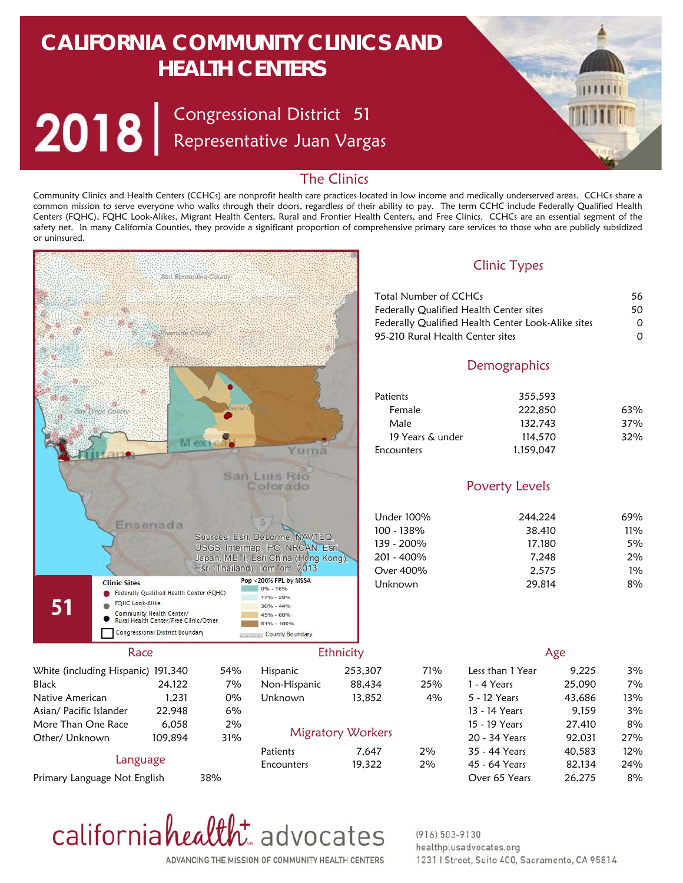# **CALIFORNIA COMMUNITY CLINICS AND HEALTH CENTERS**

Congressional District Representative Juan Vargas 51



### The Clinics

Community Clinics and Health Centers (CCHCs) are nonprofit health care practices located in low income and medically underserved areas. CCHCs share a common mission to serve everyone who walks through their doors, regardless of their ability to pay. The term CCHC include Federally Qualified Health Centers (FQHC), FQHC Look-Alikes, Migrant Health Centers, Rural and Frontier Health Centers, and Free Clinics. CCHCs are an essential segment of the safety net. In many California Counties, they provide a significant proportion of comprehensive primary care services to those who are publicly subsidized or uninsured.



ADVANCING THE MISSION OF COMMUNITY HEALTH CENTERS

californiahealth advocates

#### $(916) 503 - 9130$ healthplusadvocates.org 1231 | Street, Suite 400, Sacramento, CA 95814